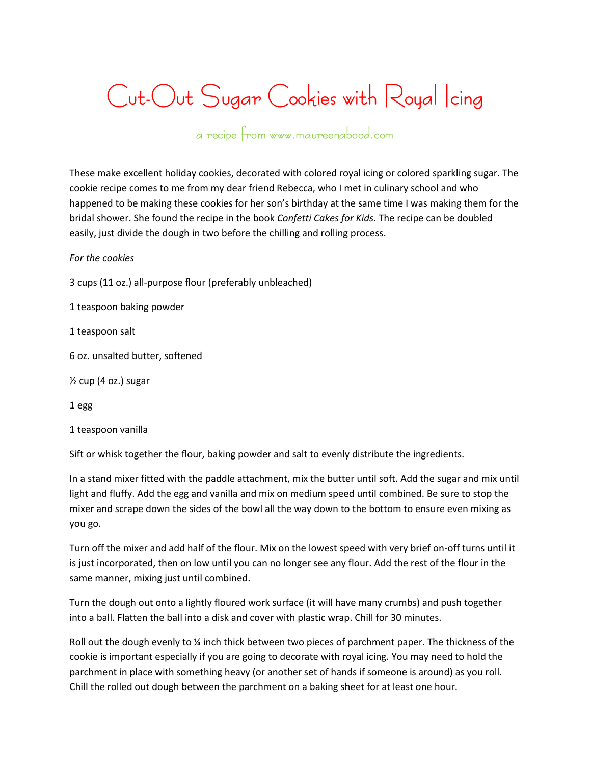## **Cut-Out Sugar Cookies with Royal Icing**

## **a recipe from www.maureenabood.com**

These make excellent holiday cookies, decorated with colored royal icing or colored sparkling sugar. The cookie recipe comes to me from my dear friend Rebecca, who I met in culinary school and who happened to be making these cookies for her son's birthday at the same time I was making them for the bridal shower. She found the recipe in the book *Confetti Cakes for Kids*. The recipe can be doubled easily, just divide the dough in two before the chilling and rolling process.

## *For the cookies*

3 cups (11 oz.) all-purpose flour (preferably unbleached)

1 teaspoon baking powder

1 teaspoon salt

6 oz. unsalted butter, softened

 $\frac{1}{2}$  cup (4 oz.) sugar

1 egg

1 teaspoon vanilla

Sift or whisk together the flour, baking powder and salt to evenly distribute the ingredients.

In a stand mixer fitted with the paddle attachment, mix the butter until soft. Add the sugar and mix until light and fluffy. Add the egg and vanilla and mix on medium speed until combined. Be sure to stop the mixer and scrape down the sides of the bowl all the way down to the bottom to ensure even mixing as you go.

Turn off the mixer and add half of the flour. Mix on the lowest speed with very brief on-off turns until it is just incorporated, then on low until you can no longer see any flour. Add the rest of the flour in the same manner, mixing just until combined.

Turn the dough out onto a lightly floured work surface (it will have many crumbs) and push together into a ball. Flatten the ball into a disk and cover with plastic wrap. Chill for 30 minutes.

Roll out the dough evenly to % inch thick between two pieces of parchment paper. The thickness of the cookie is important especially if you are going to decorate with royal icing. You may need to hold the parchment in place with something heavy (or another set of hands if someone is around) as you roll. Chill the rolled out dough between the parchment on a baking sheet for at least one hour.